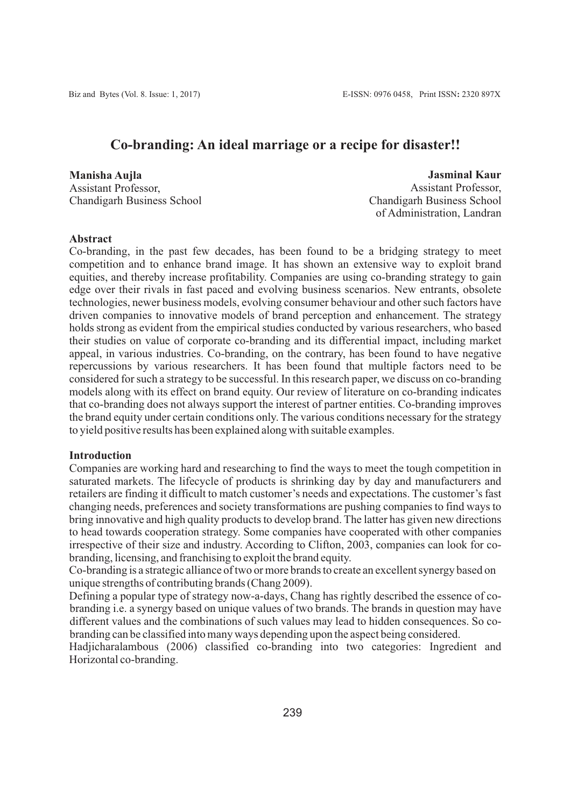# **Co-branding: An ideal marriage or a recipe for disaster!!**

**Manisha Aujla** Assistant Professor, Chandigarh Business School

 **Jasminal Kaur** Assistant Professor, Chandigarh Business School of Administration, Landran

## **Abstract**

Co-branding, in the past few decades, has been found to be a bridging strategy to meet competition and to enhance brand image. It has shown an extensive way to exploit brand equities, and thereby increase profitability. Companies are using co-branding strategy to gain edge over their rivals in fast paced and evolving business scenarios. New entrants, obsolete technologies, newer business models, evolving consumer behaviour and other such factors have driven companies to innovative models of brand perception and enhancement. The strategy holds strong as evident from the empirical studies conducted by various researchers, who based their studies on value of corporate co-branding and its differential impact, including market appeal, in various industries. Co-branding, on the contrary, has been found to have negative repercussions by various researchers. It has been found that multiple factors need to be considered for such a strategy to be successful. In this research paper, we discuss on co-branding models along with its effect on brand equity. Our review of literature on co-branding indicates that co-branding does not always support the interest of partner entities. Co-branding improves the brand equity under certain conditions only. The various conditions necessary for the strategy to yield positive results has been explained along with suitable examples.

#### **Introduction**

Companies are working hard and researching to find the ways to meet the tough competition in saturated markets. The lifecycle of products is shrinking day by day and manufacturers and retailers are finding it difficult to match customer's needs and expectations. The customer's fast changing needs, preferences and society transformations are pushing companies to find ways to bring innovative and high quality products to develop brand. The latter has given new directions to head towards cooperation strategy. Some companies have cooperated with other companies irrespective of their size and industry. According to Clifton, 2003, companies can look for cobranding, licensing, and franchising to exploit the brand equity.

Co-branding is a strategic alliance of two or more brands to create an excellent synergy based on unique strengths of contributing brands (Chang 2009).

Defining a popular type of strategy now-a-days, Chang has rightly described the essence of cobranding i.e. a synergy based on unique values of two brands. The brands in question may have different values and the combinations of such values may lead to hidden consequences. So cobranding can be classified into many ways depending upon the aspect being considered.

Hadjicharalambous (2006) classified co-branding into two categories: Ingredient and Horizontal co-branding.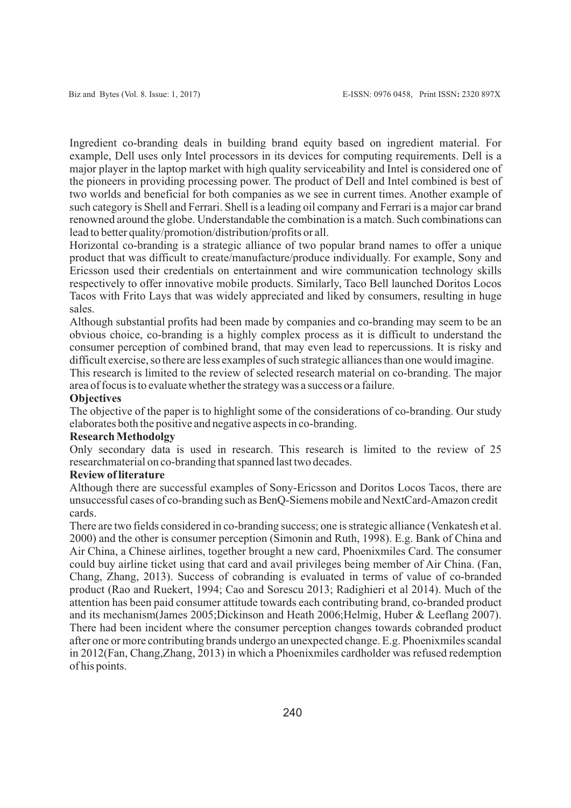Ingredient co-branding deals in building brand equity based on ingredient material. For example, Dell uses only Intel processors in its devices for computing requirements. Dell is a major player in the laptop market with high quality serviceability and Intel is considered one of the pioneers in providing processing power. The product of Dell and Intel combined is best of two worlds and beneficial for both companies as we see in current times. Another example of such category is Shell and Ferrari. Shell is a leading oil company and Ferrari is a major car brand renowned around the globe. Understandable the combination is a match. Such combinations can lead to better quality/promotion/distribution/profits or all.

Horizontal co-branding is a strategic alliance of two popular brand names to offer a unique product that was difficult to create/manufacture/produce individually. For example, Sony and Ericsson used their credentials on entertainment and wire communication technology skills respectively to offer innovative mobile products. Similarly, Taco Bell launched Doritos Locos Tacos with Frito Lays that was widely appreciated and liked by consumers, resulting in huge sales.

Although substantial profits had been made by companies and co-branding may seem to be an obvious choice, co-branding is a highly complex process as it is difficult to understand the consumer perception of combined brand, that may even lead to repercussions. It is risky and difficult exercise, so there are less examples of such strategic alliances than one would imagine.

This research is limited to the review of selected research material on co-branding. The major area of focus is to evaluate whether the strategy was a success or a failure.

#### **Objectives**

The objective of the paper is to highlight some of the considerations of co-branding. Our study elaborates both the positive and negative aspects in co-branding.

## **Research Methodolgy**

Only secondary data is used in research. This research is limited to the review of 25 researchmaterial on co-branding that spanned last two decades.

### **Review of literature**

Although there are successful examples of Sony-Ericsson and Doritos Locos Tacos, there are unsuccessful cases of co-branding such as BenQ-Siemens mobile and NextCard-Amazon credit cards.

There are two fields considered in co-branding success; one is strategic alliance (Venkatesh et al. 2000) and the other is consumer perception (Simonin and Ruth, 1998). E.g. Bank of China and Air China, a Chinese airlines, together brought a new card, Phoenixmiles Card. The consumer could buy airline ticket using that card and avail privileges being member of Air China. (Fan, Chang, Zhang, 2013). Success of cobranding is evaluated in terms of value of co-branded product (Rao and Ruekert, 1994; Cao and Sorescu 2013; Radighieri et al 2014). Much of the attention has been paid consumer attitude towards each contributing brand, co-branded product and its mechanism(James 2005;Dickinson and Heath 2006;Helmig, Huber & Leeflang 2007). There had been incident where the consumer perception changes towards cobranded product after one or more contributing brands undergo an unexpected change. E.g. Phoenixmiles scandal in 2012(Fan, Chang,Zhang, 2013) in which a Phoenixmiles cardholder was refused redemption of his points.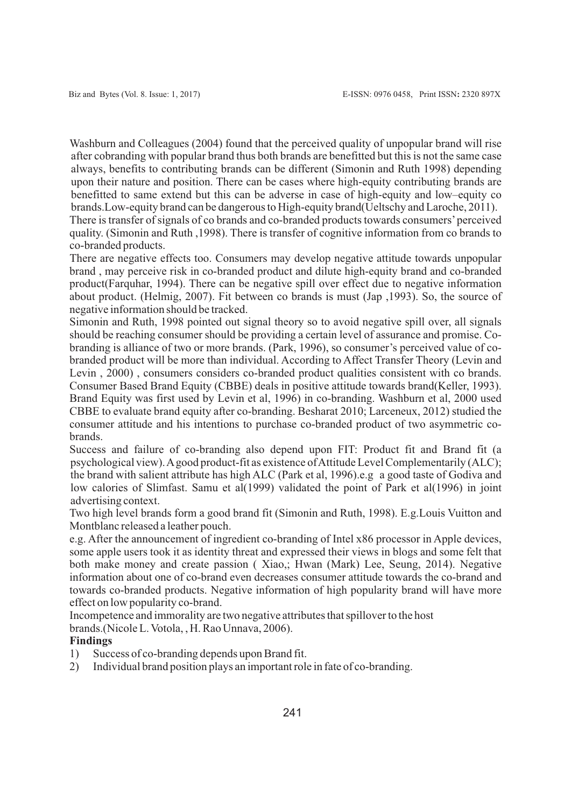Washburn and Colleagues (2004) found that the perceived quality of unpopular brand will rise after cobranding with popular brand thus both brands are benefitted but this is not the same case always, benefits to contributing brands can be different (Simonin and Ruth 1998) depending upon their nature and position. There can be cases where high-equity contributing brands are benefitted to same extend but this can be adverse in case of high-equity and low–equity co brands.Low-equity brand can be dangerous to High-equity brand(Ueltschy and Laroche, 2011).

There is transfer of signals of co brands and co-branded products towards consumers'perceived quality. (Simonin and Ruth ,1998). There is transfer of cognitive information from co brands to co-branded products.

There are negative effects too. Consumers may develop negative attitude towards unpopular brand , may perceive risk in co-branded product and dilute high-equity brand and co-branded product(Farquhar, 1994). There can be negative spill over effect due to negative information about product. (Helmig, 2007). Fit between co brands is must (Jap ,1993). So, the source of negative information should be tracked.

Simonin and Ruth, 1998 pointed out signal theory so to avoid negative spill over, all signals should be reaching consumer should be providing a certain level of assurance and promise. Cobranding is alliance of two or more brands. (Park, 1996), so consumer's perceived value of cobranded product will be more than individual. According to Affect Transfer Theory (Levin and Levin , 2000) , consumers considers co-branded product qualities consistent with co brands. Consumer Based Brand Equity (CBBE) deals in positive attitude towards brand(Keller, 1993). Brand Equity was first used by Levin et al, 1996) in co-branding. Washburn et al, 2000 used CBBE to evaluate brand equity after co-branding. Besharat 2010; Larceneux, 2012) studied the consumer attitude and his intentions to purchase co-branded product of two asymmetric cobrands.

Success and failure of co-branding also depend upon FIT: Product fit and Brand fit (a psychological view). Agood product-fit as existence of Attitude Level Complementarily (ALC); the brand with salient attribute has high ALC (Park et al, 1996).e.g a good taste of Godiva and low calories of Slimfast. Samu et al(1999) validated the point of Park et al(1996) in joint advertising context.

Two high level brands form a good brand fit (Simonin and Ruth, 1998). E.g.Louis Vuitton and Montblanc released a leather pouch.

e.g. After the announcement of ingredient co-branding of Intel x86 processor in Apple devices, some apple users took it as identity threat and expressed their views in blogs and some felt that both make money and create passion ( Xiao,; Hwan (Mark) Lee, Seung, 2014). Negative information about one of co-brand even decreases consumer attitude towards the co-brand and towards co-branded products. Negative information of high popularity brand will have more effect on low popularity co-brand.

Incompetence and immorality are two negative attributes that spillover to the host brands.(Nicole L. Votola, , H. Rao Unnava, 2006).

## **Findings**

- 1) Success of co-branding depends upon Brand fit.
- 2) Individual brand position plays an important role in fate of co-branding.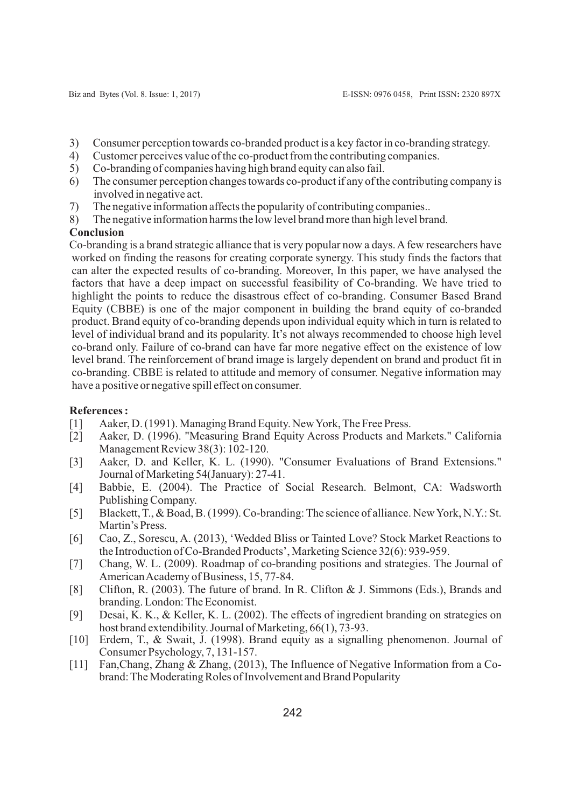- 3) Consumer perception towards co-branded product is a key factor in co-branding strategy.
- 4) Customer perceives value of the co-product from the contributing companies.
- 5) Co-branding of companies having high brand equity can also fail.
- 6) The consumer perception changes towards co-product if any of the contributing company is involved in negative act.
- 7) The negative information affects the popularity of contributing companies..
- 8) The negative information harms the low level brand more than high level brand.

### **Conclusion**

Co-branding is a brand strategic alliance that is very popular now a days. Afew researchers have worked on finding the reasons for creating corporate synergy. This study finds the factors that can alter the expected results of co-branding. Moreover, In this paper, we have analysed the factors that have a deep impact on successful feasibility of Co-branding. We have tried to highlight the points to reduce the disastrous effect of co-branding. Consumer Based Brand Equity (CBBE) is one of the major component in building the brand equity of co-branded product. Brand equity of co-branding depends upon individual equity which in turn is related to level of individual brand and its popularity. It's not always recommended to choose high level co-brand only. Failure of co-brand can have far more negative effect on the existence of low level brand. The reinforcement of brand image is largely dependent on brand and product fit in co-branding. CBBE is related to attitude and memory of consumer. Negative information may have a positive or negative spill effect on consumer.

#### **References :**

- [1] Aaker, D. (1991). Managing Brand Equity. New York, The Free Press.
- [2] Aaker, D. (1996). "Measuring Brand Equity Across Products and Markets." California Management Review 38(3): 102-120.
- [3] Aaker, D. and Keller, K. L. (1990). "Consumer Evaluations of Brand Extensions." Journal of Marketing 54(January): 27-41.
- [4] Babbie, E. (2004). The Practice of Social Research. Belmont, CA: Wadsworth Publishing Company.
- [5] Blackett, T., & Boad, B. (1999). Co-branding: The science of alliance. New York, N.Y.: St. Martin's Press.
- [6] Cao, Z., Sorescu, A. (2013), 'Wedded Bliss or Tainted Love? Stock Market Reactions to the Introduction of Co-Branded Products', Marketing Science 32(6): 939-959.
- [7] Chang, W. L. (2009). Roadmap of co-branding positions and strategies. The Journal of American Academy of Business, 15, 77-84.
- [8] Clifton, R. (2003). The future of brand. In R. Clifton & J. Simmons (Eds.), Brands and branding. London: The Economist.
- [9] Desai, K. K., & Keller, K. L. (2002). The effects of ingredient branding on strategies on host brand extendibility. Journal of Marketing, 66(1), 73-93.
- [10] Erdem, T., & Swait, J. (1998). Brand equity as a signalling phenomenon. Journal of Consumer Psychology, 7, 131-157.
- [11] Fan, Chang, Zhang & Zhang, (2013), The Influence of Negative Information from a Cobrand: The Moderating Roles of Involvement and Brand Popularity